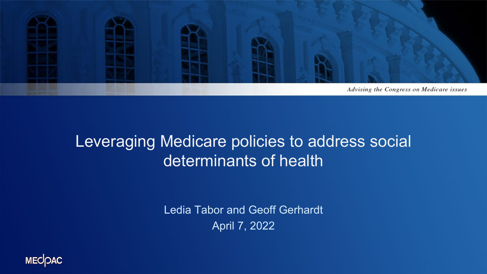

#### Leveraging Medicare policies to address social determinants of health

Ledia Tabor and Geoff Gerhardt April 7, 2022

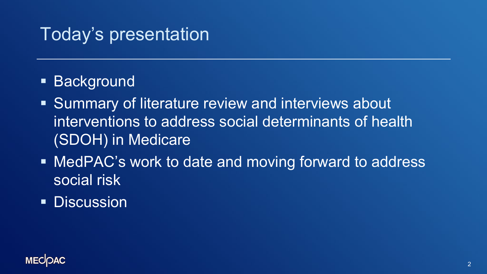#### Today's presentation

- **Background**
- **Summary of literature review and interviews about** interventions to address social determinants of health (SDOH) in Medicare
- MedPAC's work to date and moving forward to address social risk
- **Discussion**

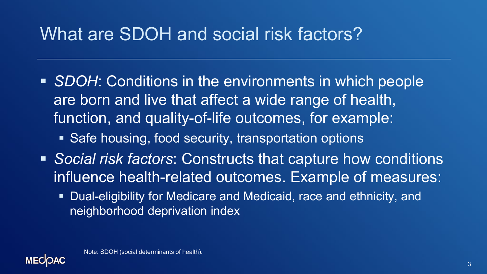## What are SDOH and social risk factors?

- *SDOH*: Conditions in the environments in which people are born and live that affect a wide range of health, function, and quality-of-life outcomes, for example:
	- Safe housing, food security, transportation options
- *Social risk factors*: Constructs that capture how conditions influence health-related outcomes. Example of measures:
	- **Dual-eligibility for Medicare and Medicaid, race and ethnicity, and** neighborhood deprivation index

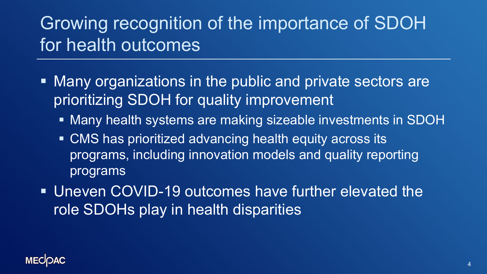# Growing recognition of the importance of SDOH for health outcomes

- **Many organizations in the public and private sectors are** prioritizing SDOH for quality improvement
	- Many health systems are making sizeable investments in SDOH
	- CMS has prioritized advancing health equity across its programs, including innovation models and quality reporting programs
- Uneven COVID-19 outcomes have further elevated the role SDOHs play in health disparities

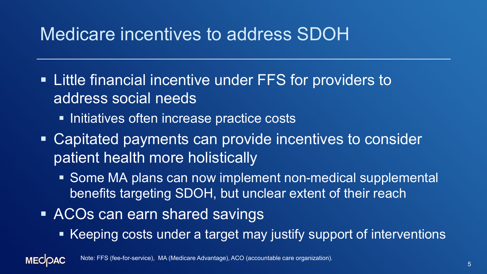## Medicare incentives to address SDOH

- **Example 1** Little financial incentive under FFS for providers to address social needs
	- **Initiatives often increase practice costs**
- Capitated payments can provide incentives to consider patient health more holistically
	- Some MA plans can now implement non-medical supplemental benefits targeting SDOH, but unclear extent of their reach
- ACOs can earn shared savings

**MECOAC** 

■ Keeping costs under a target may justify support of interventions

Note: FFS (fee-for-service), MA (Medicare Advantage), ACO (accountable care organization).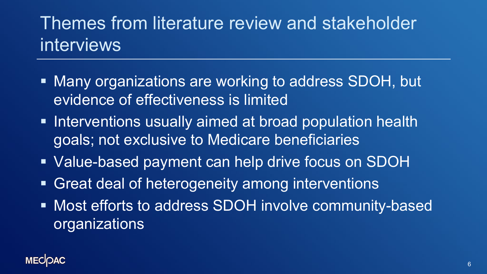# Themes from literature review and stakeholder interviews

- Many organizations are working to address SDOH, but evidence of effectiveness is limited
- **Interventions usually aimed at broad population health** goals; not exclusive to Medicare beneficiaries
- Value-based payment can help drive focus on SDOH
- Great deal of heterogeneity among interventions
- **Most efforts to address SDOH involve community-based organizations**

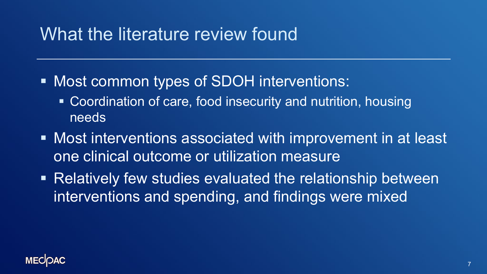#### What the literature review found

- Most common types of SDOH interventions:
	- Coordination of care, food insecurity and nutrition, housing needs
- Most interventions associated with improvement in at least one clinical outcome or utilization measure
- Relatively few studies evaluated the relationship between interventions and spending, and findings were mixed

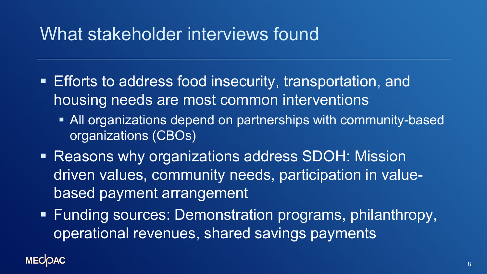#### What stakeholder interviews found

- Efforts to address food insecurity, transportation, and housing needs are most common interventions
	- All organizations depend on partnerships with community-based organizations (CBOs)
- Reasons why organizations address SDOH: Mission driven values, community needs, participation in valuebased payment arrangement
- **Funding sources: Demonstration programs, philanthropy,** operational revenues, shared savings payments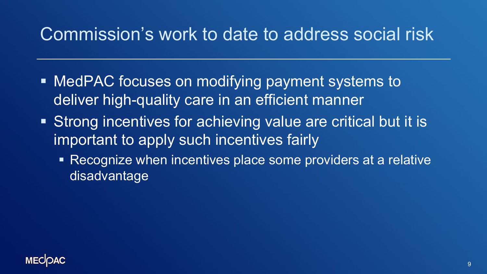## Commission's work to date to address social risk

- MedPAC focuses on modifying payment systems to deliver high-quality care in an efficient manner
- **Strong incentives for achieving value are critical but it is** important to apply such incentives fairly
	- Recognize when incentives place some providers at a relative disadvantage

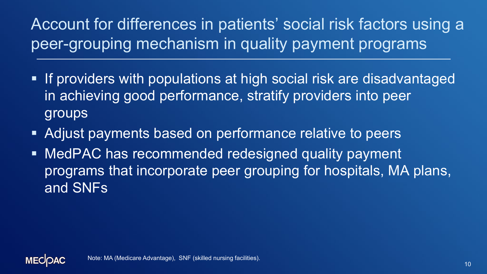#### Account for differences in patients' social risk factors using a peer-grouping mechanism in quality payment programs

- **If providers with populations at high social risk are disadvantaged** in achieving good performance, stratify providers into peer groups
- Adjust payments based on performance relative to peers
- **MedPAC has recommended redesigned quality payment** programs that incorporate peer grouping for hospitals, MA plans, and SNFs

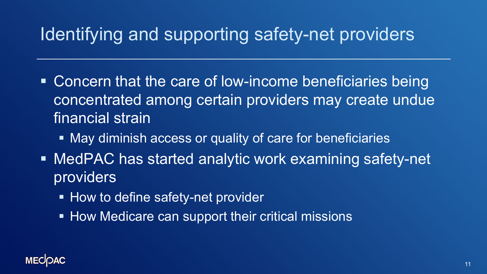## Identifying and supporting safety-net providers

- Concern that the care of low-income beneficiaries being concentrated among certain providers may create undue financial strain
	- **May diminish access or quality of care for beneficiaries**
- MedPAC has started analytic work examining safety-net providers
	- **How to define safety-net provider**
	- **How Medicare can support their critical missions**

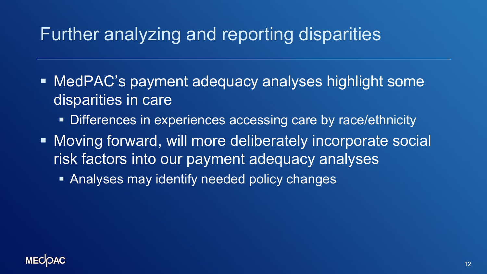## Further analyzing and reporting disparities

- **MedPAC's payment adequacy analyses highlight some** disparities in care
	- **Differences in experiences accessing care by race/ethnicity**
- **Moving forward, will more deliberately incorporate social** risk factors into our payment adequacy analyses
	- **Analyses may identify needed policy changes**

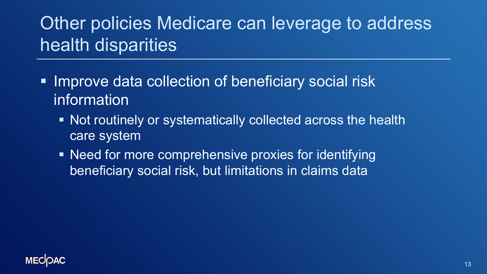# Other policies Medicare can leverage to address health disparities

- **Improve data collection of beneficiary social risk** information
	- Not routinely or systematically collected across the health care system
	- Need for more comprehensive proxies for identifying beneficiary social risk, but limitations in claims data

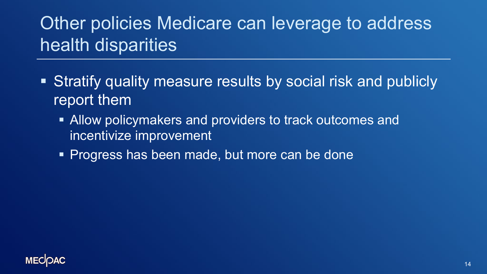# Other policies Medicare can leverage to address health disparities

- Stratify quality measure results by social risk and publicly report them
	- **Allow policymakers and providers to track outcomes and** incentivize improvement
	- **Progress has been made, but more can be done**

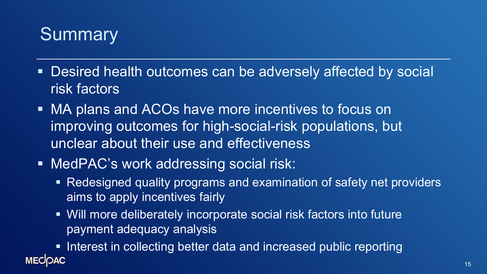## **Summary**

- Desired health outcomes can be adversely affected by social risk factors
- MA plans and ACOs have more incentives to focus on improving outcomes for high-social-risk populations, but unclear about their use and effectiveness
- MedPAC's work addressing social risk:
	- Redesigned quality programs and examination of safety net providers aims to apply incentives fairly
	- Will more deliberately incorporate social risk factors into future payment adequacy analysis
- **Interest in collecting better data and increased public reporting MECOAC**